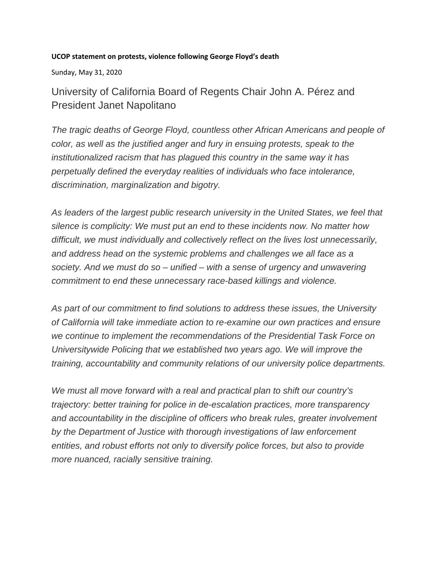## **UCOP statement on protests, violence following George Floyd's death**

Sunday, May 31, 2020

University of California Board of Regents Chair John A. Pérez and President Janet Napolitano

*The tragic deaths of George Floyd, countless other African Americans and people of color, as well as the justified anger and fury in ensuing protests, speak to the institutionalized racism that has plagued this country in the same way it has perpetually defined the everyday realities of individuals who face intolerance, discrimination, marginalization and bigotry.*

*As leaders of the largest public research university in the United States, we feel that silence is complicity: We must put an end to these incidents now. No matter how difficult, we must individually and collectively reflect on the lives lost unnecessarily, and address head on the systemic problems and challenges we all face as a society. And we must do so – unified – with a sense of urgency and unwavering commitment to end these unnecessary race-based killings and violence.*

*As part of our commitment to find solutions to address these issues, the University of California will take immediate action to re-examine our own practices and ensure we continue to implement the recommendations of the Presidential Task Force on Universitywide Policing that we established two years ago. We will improve the training, accountability and community relations of our university police departments.*

*We must all move forward with a real and practical plan to shift our country's trajectory: better training for police in de-escalation practices, more transparency and accountability in the discipline of officers who break rules, greater involvement by the Department of Justice with thorough investigations of law enforcement entities, and robust efforts not only to diversify police forces, but also to provide more nuanced, racially sensitive training.*